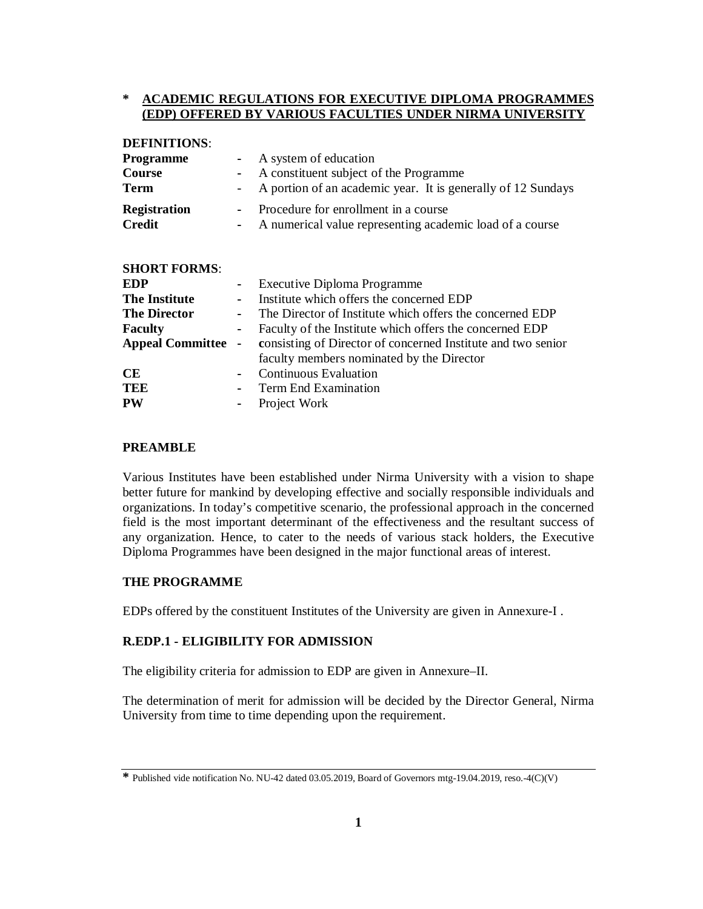## **\* ACADEMIC REGULATIONS FOR EXECUTIVE DIPLOMA PROGRAMMES (EDP) OFFERED BY VARIOUS FACULTIES UNDER NIRMA UNIVERSITY**

| регичното.              |                   |                                                              |
|-------------------------|-------------------|--------------------------------------------------------------|
| <b>Programme</b>        | $\blacksquare$    | A system of education                                        |
| Course                  | $\blacksquare$    | A constituent subject of the Programme                       |
| Term                    | $\qquad \qquad -$ | A portion of an academic year. It is generally of 12 Sundays |
| <b>Registration</b>     | $\blacksquare$    | Procedure for enrollment in a course                         |
| <b>Credit</b>           | ۰                 | A numerical value representing academic load of a course     |
|                         |                   |                                                              |
| <b>SHORT FORMS:</b>     |                   |                                                              |
| EDP                     | ۰                 | Executive Diploma Programme                                  |
| <b>The Institute</b>    | $\blacksquare$    | Institute which offers the concerned EDP                     |
| <b>The Director</b>     | $\blacksquare$    | The Director of Institute which offers the concerned EDP     |
| <b>Faculty</b>          | $\blacksquare$    | Faculty of the Institute which offers the concerned EDP      |
| <b>Appeal Committee</b> | $\blacksquare$    | consisting of Director of concerned Institute and two senior |
|                         |                   | faculty members nominated by the Director                    |
| <b>CE</b>               | ٠                 | <b>Continuous Evaluation</b>                                 |
| <b>TEE</b>              |                   | Term End Examination                                         |

## **PREAMBLE**

**DEFINITIONS**:

Various Institutes have been established under Nirma University with a vision to shape better future for mankind by developing effective and socially responsible individuals and organizations. In today's competitive scenario, the professional approach in the concerned field is the most important determinant of the effectiveness and the resultant success of any organization. Hence, to cater to the needs of various stack holders, the Executive Diploma Programmes have been designed in the major functional areas of interest*.*

### **THE PROGRAMME**

EDPs offered by the constituent Institutes of the University are given in Annexure-I .

### **R.EDP.1 - ELIGIBILITY FOR ADMISSION**

**PW -** Project Work

The eligibility criteria for admission to EDP are given in Annexure–II.

The determination of merit for admission will be decided by the Director General, Nirma University from time to time depending upon the requirement.

**<sup>\*</sup>** Published vide notification No. NU-42 dated 03.05.2019, Board of Governors mtg-19.04.2019, reso.-4(C)(V)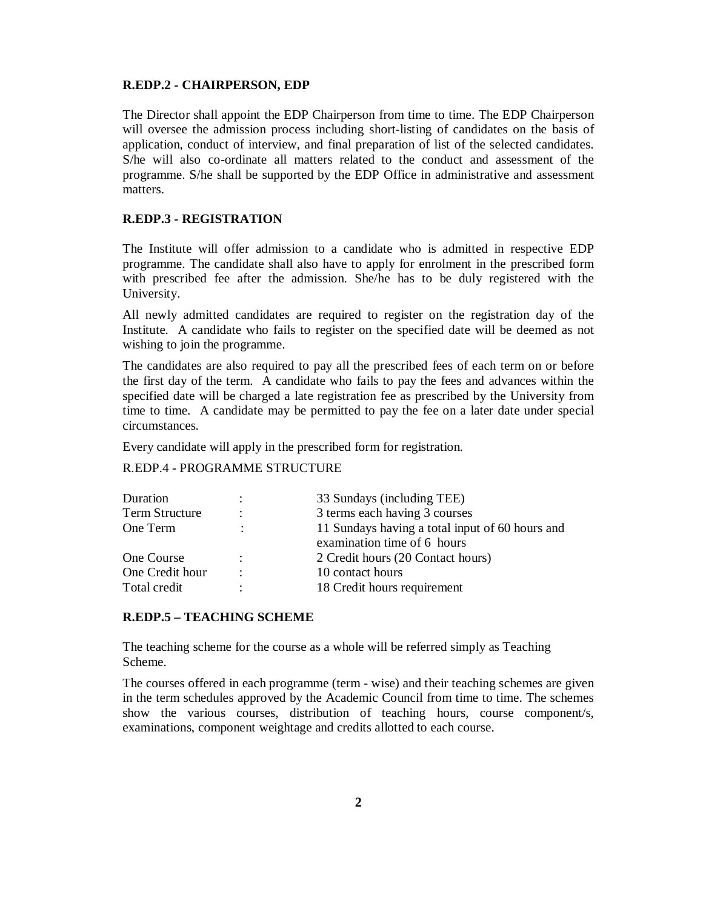### **R.EDP.2 - CHAIRPERSON, EDP**

The Director shall appoint the EDP Chairperson from time to time. The EDP Chairperson will oversee the admission process including short-listing of candidates on the basis of application, conduct of interview, and final preparation of list of the selected candidates. S/he will also co-ordinate all matters related to the conduct and assessment of the programme. S/he shall be supported by the EDP Office in administrative and assessment matters.

### **R.EDP.3 - REGISTRATION**

The Institute will offer admission to a candidate who is admitted in respective EDP programme. The candidate shall also have to apply for enrolment in the prescribed form with prescribed fee after the admission. She/he has to be duly registered with the University.

All newly admitted candidates are required to register on the registration day of the Institute. A candidate who fails to register on the specified date will be deemed as not wishing to join the programme.

The candidates are also required to pay all the prescribed fees of each term on or before the first day of the term. A candidate who fails to pay the fees and advances within the specified date will be charged a late registration fee as prescribed by the University from time to time. A candidate may be permitted to pay the fee on a later date under special circumstances.

Every candidate will apply in the prescribed form for registration.

## R.EDP.4 - PROGRAMME STRUCTURE

| Duration        |                      | 33 Sundays (including TEE)                      |  |
|-----------------|----------------------|-------------------------------------------------|--|
| Term Structure  | ٠                    | 3 terms each having 3 courses                   |  |
| One Term        |                      | 11 Sundays having a total input of 60 hours and |  |
|                 |                      | examination time of 6 hours                     |  |
| One Course      | $\ddot{\phantom{0}}$ | 2 Credit hours (20 Contact hours)               |  |
| One Credit hour | ٠                    | 10 contact hours                                |  |
| Total credit    |                      | 18 Credit hours requirement                     |  |
|                 |                      |                                                 |  |

### **R.EDP.5 – TEACHING SCHEME**

The teaching scheme for the course as a whole will be referred simply as Teaching Scheme.

The courses offered in each programme (term - wise) and their teaching schemes are given in the term schedules approved by the Academic Council from time to time. The schemes show the various courses, distribution of teaching hours, course component/s, examinations, component weightage and credits allotted to each course.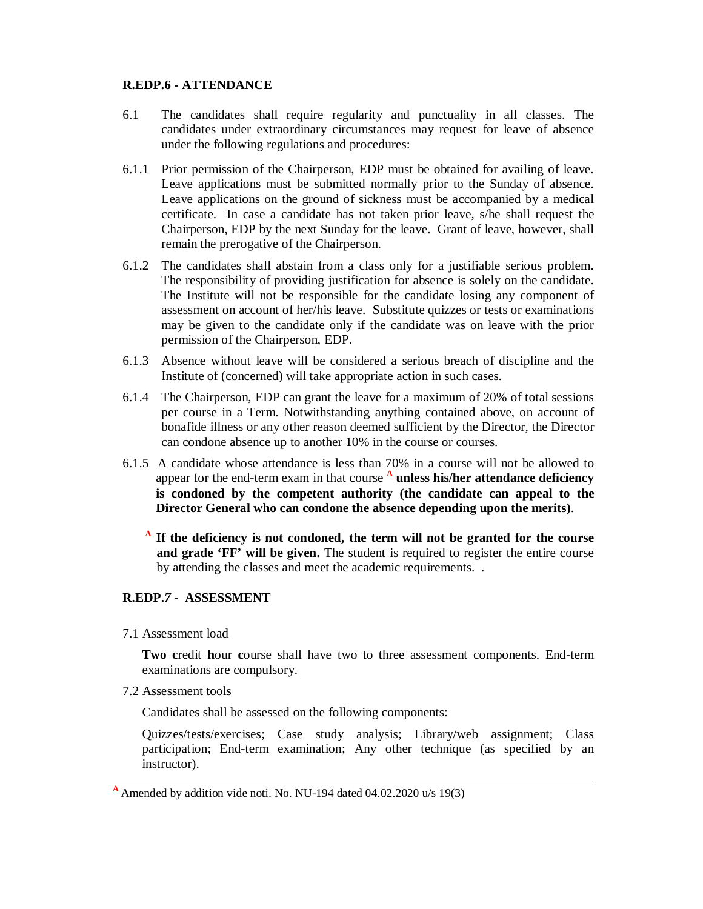## **R.EDP.6 - ATTENDANCE**

- 6.1 The candidates shall require regularity and punctuality in all classes. The candidates under extraordinary circumstances may request for leave of absence under the following regulations and procedures:
- 6.1.1 Prior permission of the Chairperson, EDP must be obtained for availing of leave. Leave applications must be submitted normally prior to the Sunday of absence. Leave applications on the ground of sickness must be accompanied by a medical certificate. In case a candidate has not taken prior leave, s/he shall request the Chairperson, EDP by the next Sunday for the leave. Grant of leave, however, shall remain the prerogative of the Chairperson.
- 6.1.2 The candidates shall abstain from a class only for a justifiable serious problem. The responsibility of providing justification for absence is solely on the candidate. The Institute will not be responsible for the candidate losing any component of assessment on account of her/his leave. Substitute quizzes or tests or examinations may be given to the candidate only if the candidate was on leave with the prior permission of the Chairperson, EDP.
- 6.1.3 Absence without leave will be considered a serious breach of discipline and the Institute of (concerned) will take appropriate action in such cases.
- 6.1.4 The Chairperson, EDP can grant the leave for a maximum of 20% of total sessions per course in a Term. Notwithstanding anything contained above, on account of bonafide illness or any other reason deemed sufficient by the Director, the Director can condone absence up to another 10% in the course or courses.
- 6.1.5 A candidate whose attendance is less than 70% in a course will not be allowed to appear for the end-term exam in that course **<sup>A</sup> unless his/her attendance deficiency is condoned by the competent authority (the candidate can appeal to the Director General who can condone the absence depending upon the merits)**.

**A If the deficiency is not condoned, the term will not be granted for the course and grade 'FF' will be given.** The student is required to register the entire course by attending the classes and meet the academic requirements. .

# **R.EDP.***7 -* **ASSESSMENT**

7.1 Assessment load

**Two c**redit **h**our **c**ourse shall have two to three assessment components. End-term examinations are compulsory.

7.2 Assessment tools

Candidates shall be assessed on the following components:

Quizzes/tests/exercises; Case study analysis; Library/web assignment; Class participation; End-term examination; Any other technique (as specified by an instructor).

**<sup>A</sup>** Amended by addition vide noti. No. NU-194 dated 04.02.2020 u/s 19(3)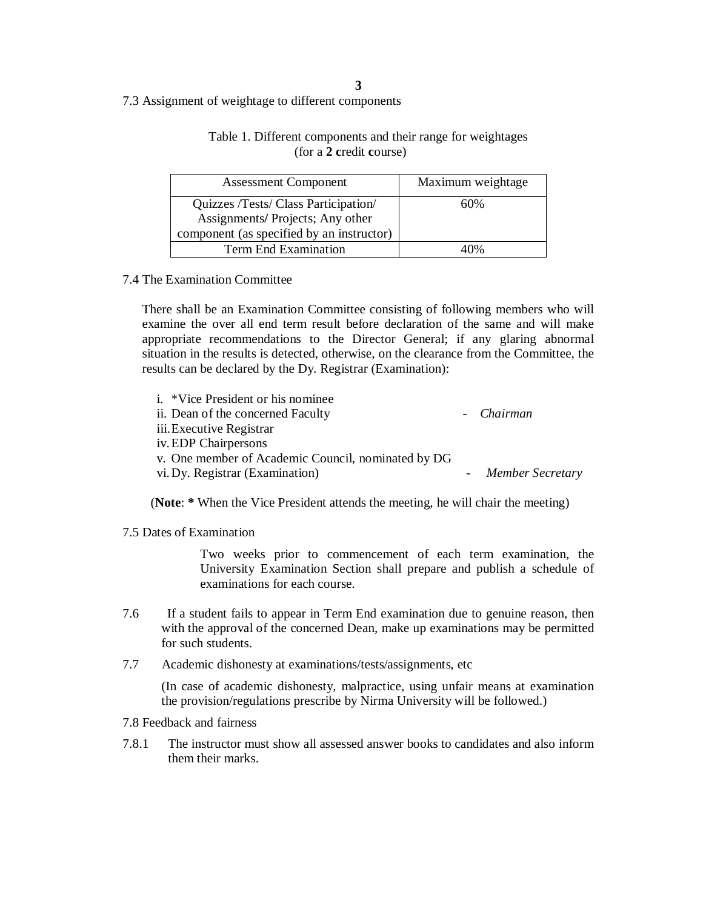# 7.3 Assignment of weightage to different components

# Table 1. Different components and their range for weightages (for a **2 c**redit **c**ourse)

| <b>Assessment Component</b>               | Maximum weightage |
|-------------------------------------------|-------------------|
| Quizzes /Tests/ Class Participation/      | 60%               |
| Assignments/ Projects; Any other          |                   |
| component (as specified by an instructor) |                   |
| Term End Examination                      |                   |

## 7.4 The Examination Committee

There shall be an Examination Committee consisting of following members who will examine the over all end term result before declaration of the same and will make appropriate recommendations to the Director General; if any glaring abnormal situation in the results is detected, otherwise, on the clearance from the Committee, the results can be declared by the Dy. Registrar (Examination):

| i. *Vice President or his nominee                  |                    |
|----------------------------------------------------|--------------------|
| ii. Dean of the concerned Faculty                  | - Chairman         |
| iii. Executive Registrar                           |                    |
| iv. EDP Chairpersons                               |                    |
| v. One member of Academic Council, nominated by DG |                    |
| vi. Dy. Registrar (Examination)                    | - Member Secretary |
|                                                    |                    |

(**Note**: **\*** When the Vice President attends the meeting, he will chair the meeting)

## 7.5 Dates of Examination

Two weeks prior to commencement of each term examination, the University Examination Section shall prepare and publish a schedule of examinations for each course.

- 7.6 If a student fails to appear in Term End examination due to genuine reason, then with the approval of the concerned Dean, make up examinations may be permitted for such students.
- 7.7 Academic dishonesty at examinations/tests/assignments, etc

(In case of academic dishonesty, malpractice, using unfair means at examination the provision/regulations prescribe by Nirma University will be followed.)

7.8 Feedback and fairness

7.8.1 The instructor must show all assessed answer books to candidates and also inform them their marks.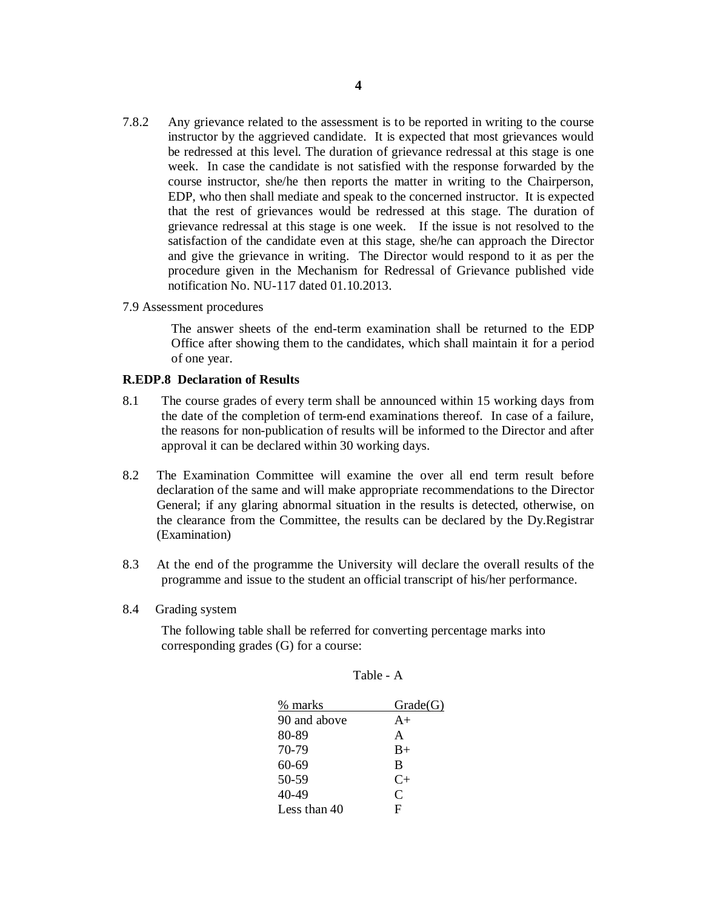- 7.8.2 Any grievance related to the assessment is to be reported in writing to the course instructor by the aggrieved candidate. It is expected that most grievances would be redressed at this level. The duration of grievance redressal at this stage is one week. In case the candidate is not satisfied with the response forwarded by the course instructor, she/he then reports the matter in writing to the Chairperson, EDP, who then shall mediate and speak to the concerned instructor. It is expected that the rest of grievances would be redressed at this stage. The duration of grievance redressal at this stage is one week. If the issue is not resolved to the satisfaction of the candidate even at this stage, she/he can approach the Director and give the grievance in writing. The Director would respond to it as per the procedure given in the Mechanism for Redressal of Grievance published vide notification No. NU-117 dated 01.10.2013.
- 7.9 Assessment procedures

The answer sheets of the end-term examination shall be returned to the EDP Office after showing them to the candidates, which shall maintain it for a period of one year.

### **R.EDP.8****Declaration of Results**

- 8.1 The course grades of every term shall be announced within 15 working days from the date of the completion of term-end examinations thereof. In case of a failure, the reasons for non-publication of results will be informed to the Director and after approval it can be declared within 30 working days.
- 8.2 The Examination Committee will examine the over all end term result before declaration of the same and will make appropriate recommendations to the Director General; if any glaring abnormal situation in the results is detected, otherwise, on the clearance from the Committee, the results can be declared by the Dy.Registrar (Examination)
- 8.3 At the end of the programme the University will declare the overall results of the programme and issue to the student an official transcript of his/her performance.
- 8.4 Grading system

The following table shall be referred for converting percentage marks into corresponding grades (G) for a course:

| % marks      | Grade(G)  |
|--------------|-----------|
| 90 and above | $A+$      |
| 80-89        | A         |
| 70-79        | $B+$      |
| 60-69        | B         |
| 50-59        | $C_{\pm}$ |
| 40-49        | $\subset$ |
| Less than 40 | F         |

| <b>Table</b> |  |
|--------------|--|
|--------------|--|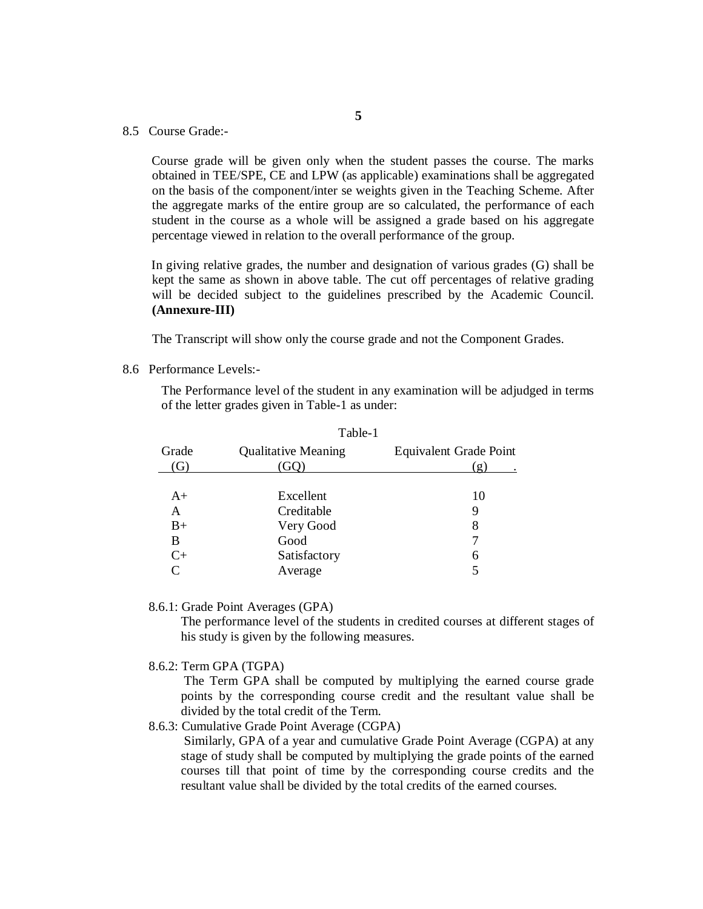8.5 Course Grade:-

 Course grade will be given only when the student passes the course. The marks obtained in TEE/SPE, CE and LPW (as applicable) examinations shall be aggregated on the basis of the component/inter se weights given in the Teaching Scheme. After the aggregate marks of the entire group are so calculated, the performance of each student in the course as a whole will be assigned a grade based on his aggregate percentage viewed in relation to the overall performance of the group.

 In giving relative grades, the number and designation of various grades (G) shall be kept the same as shown in above table. The cut off percentages of relative grading will be decided subject to the guidelines prescribed by the Academic Council. **(Annexure-III)**

The Transcript will show only the course grade and not the Component Grades.

 $T<sub>o</sub>$  $h1<sub>o</sub>$  1

8.6 Performance Levels:-

The Performance level of the student in any examination will be adjudged in terms of the letter grades given in Table-1 as under:

|              | 1 avit-1                          |                               |
|--------------|-----------------------------------|-------------------------------|
| Grade<br>(G) | <b>Qualitative Meaning</b><br>GO) | Equivalent Grade Point<br>(g) |
|              |                                   |                               |
| $A+$         | Excellent                         | 10                            |
| A            | Creditable                        | 9                             |
| $_{\rm B+}$  | Very Good                         | 8                             |
| В            | Good                              |                               |
| $C+$         | Satisfactory                      | 6                             |
| C            | Average                           |                               |
|              |                                   |                               |

8.6.1: Grade Point Averages (GPA)

The performance level of the students in credited courses at different stages of his study is given by the following measures.

8.6.2: Term GPA (TGPA)

 The Term GPA shall be computed by multiplying the earned course grade points by the corresponding course credit and the resultant value shall be divided by the total credit of the Term.

8.6.3: Cumulative Grade Point Average (CGPA)

Similarly, GPA of a year and cumulative Grade Point Average (CGPA) at any stage of study shall be computed by multiplying the grade points of the earned courses till that point of time by the corresponding course credits and the resultant value shall be divided by the total credits of the earned courses.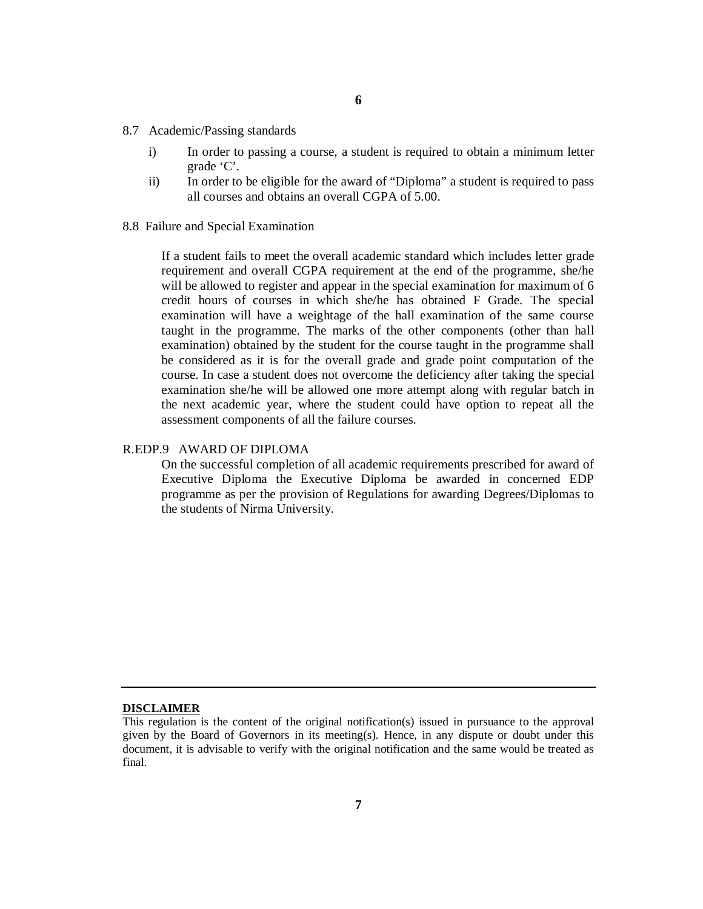- 8.7 Academic/Passing standards
	- i) In order to passing a course, a student is required to obtain a minimum letter grade 'C'.
	- ii) In order to be eligible for the award of "Diploma" a student is required to pass all courses and obtains an overall CGPA of 5.00.
- 8.8 Failure and Special Examination

If a student fails to meet the overall academic standard which includes letter grade requirement and overall CGPA requirement at the end of the programme, she/he will be allowed to register and appear in the special examination for maximum of 6 credit hours of courses in which she/he has obtained F Grade. The special examination will have a weightage of the hall examination of the same course taught in the programme. The marks of the other components (other than hall examination) obtained by the student for the course taught in the programme shall be considered as it is for the overall grade and grade point computation of the course. In case a student does not overcome the deficiency after taking the special examination she/he will be allowed one more attempt along with regular batch in the next academic year, where the student could have option to repeat all the assessment components of all the failure courses.

### R.EDP.9 AWARD OF DIPLOMA

On the successful completion of all academic requirements prescribed for award of Executive Diploma the Executive Diploma be awarded in concerned EDP programme as per the provision of Regulations for awarding Degrees/Diplomas to the students of Nirma University.

#### **DISCLAIMER**

This regulation is the content of the original notification(s) issued in pursuance to the approval given by the Board of Governors in its meeting(s). Hence, in any dispute or doubt under this document, it is advisable to verify with the original notification and the same would be treated as final.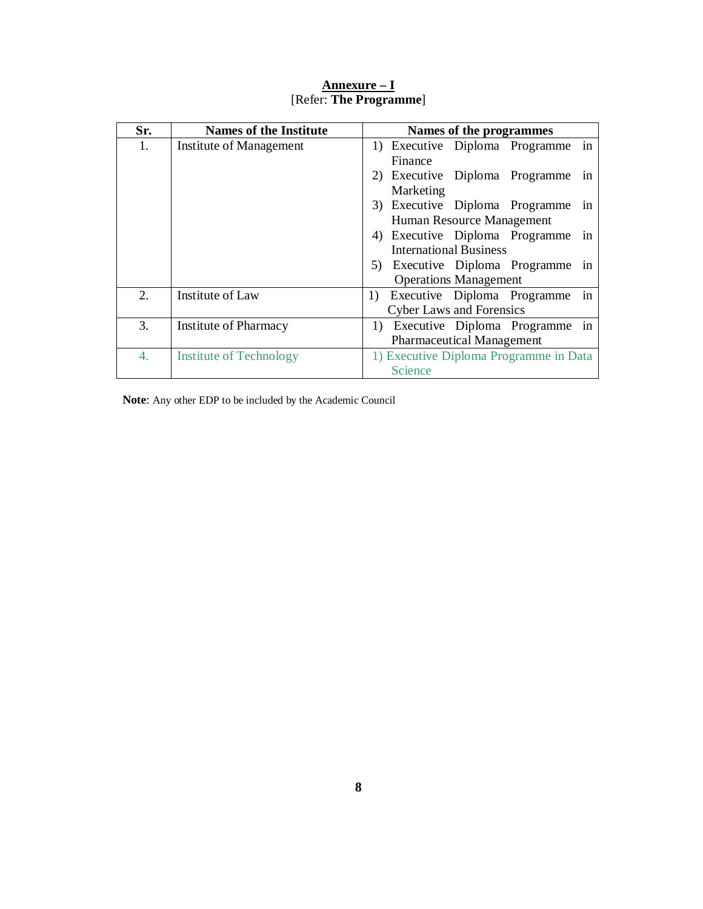| Sr. | <b>Names of the Institute</b>  | Names of the programmes                 |  |  |
|-----|--------------------------------|-----------------------------------------|--|--|
| 1.  | Institute of Management        | in<br>1) Executive Diploma Programme    |  |  |
|     |                                | Finance                                 |  |  |
|     |                                | 2) Executive Diploma Programme<br>1n    |  |  |
|     |                                | Marketing                               |  |  |
|     |                                | 3) Executive Diploma Programme<br>in    |  |  |
|     |                                | Human Resource Management               |  |  |
|     |                                | 4) Executive Diploma Programme<br>in    |  |  |
|     |                                | <b>International Business</b>           |  |  |
|     |                                | 5) Executive Diploma Programme<br>in    |  |  |
|     |                                | <b>Operations Management</b>            |  |  |
| 2.  | Institute of Law               | in<br>Executive Diploma Programme<br>1) |  |  |
|     |                                | <b>Cyber Laws and Forensics</b>         |  |  |
| 3.  | Institute of Pharmacy          | 1) Executive Diploma Programme in       |  |  |
|     |                                | <b>Pharmaceutical Management</b>        |  |  |
| 4.  | <b>Institute of Technology</b> | 1) Executive Diploma Programme in Data  |  |  |
|     |                                | Science                                 |  |  |

**Annexure – I** [Refer: **The Programme**]

**Note**: Any other EDP to be included by the Academic Council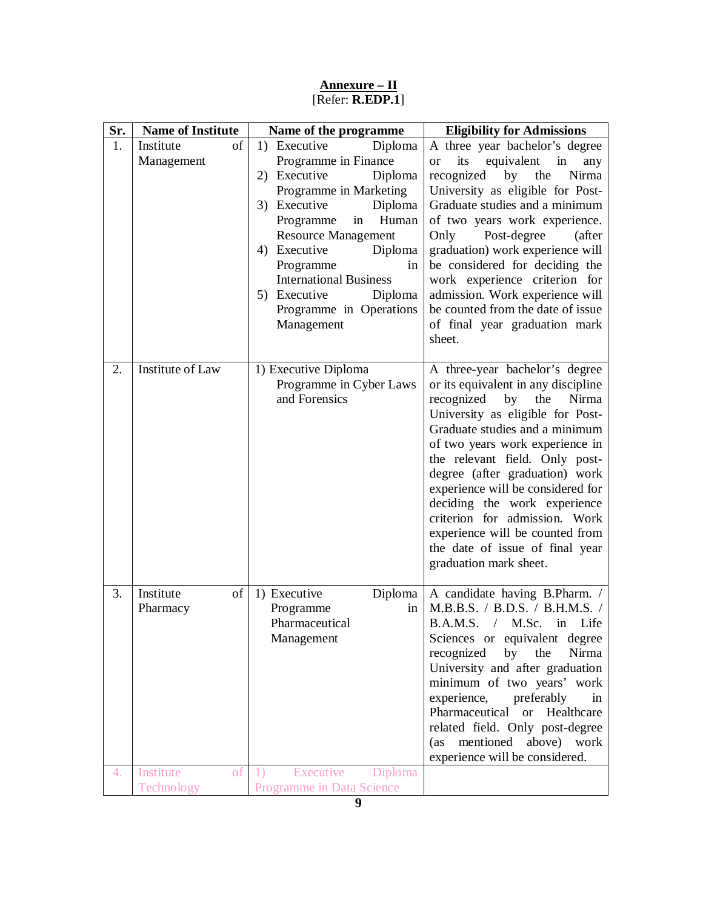| Sr. | <b>Name of Institute</b>      | Name of the programme                                                                                                                                                                                                                                                                                                                        | <b>Eligibility for Admissions</b>                                                                                                                                                                                                                                                                                                                                                                                                                                                            |
|-----|-------------------------------|----------------------------------------------------------------------------------------------------------------------------------------------------------------------------------------------------------------------------------------------------------------------------------------------------------------------------------------------|----------------------------------------------------------------------------------------------------------------------------------------------------------------------------------------------------------------------------------------------------------------------------------------------------------------------------------------------------------------------------------------------------------------------------------------------------------------------------------------------|
| 1.  | οf<br>Institute<br>Management | Diploma<br>1) Executive<br>Programme in Finance<br>2) Executive<br>Diploma<br>Programme in Marketing<br>3) Executive<br>Diploma<br>Programme<br>in<br>Human<br><b>Resource Management</b><br>4) Executive<br>Diploma<br>Programme<br>in<br><b>International Business</b><br>5) Executive<br>Diploma<br>Programme in Operations<br>Management | A three year bachelor's degree<br>its<br>equivalent<br>in<br><sub>or</sub><br>any<br>recognized<br>by the<br>Nirma<br>University as eligible for Post-<br>Graduate studies and a minimum<br>of two years work experience.<br>Post-degree<br>Only<br>(after<br>graduation) work experience will<br>be considered for deciding the<br>work experience criterion for<br>admission. Work experience will<br>be counted from the date of issue<br>of final year graduation mark<br>sheet.         |
| 2.  | Institute of Law              | 1) Executive Diploma<br>Programme in Cyber Laws<br>and Forensics                                                                                                                                                                                                                                                                             | A three-year bachelor's degree<br>or its equivalent in any discipline<br>recognized<br>by<br>the<br>Nirma<br>University as eligible for Post-<br>Graduate studies and a minimum<br>of two years work experience in<br>the relevant field. Only post-<br>degree (after graduation) work<br>experience will be considered for<br>deciding the work experience<br>criterion for admission. Work<br>experience will be counted from<br>the date of issue of final year<br>graduation mark sheet. |
| 3.  | Institute<br>οf<br>Pharmacy   | 1) Executive<br>Diploma<br>Programme<br>in<br>Pharmaceutical<br>Management                                                                                                                                                                                                                                                                   | A candidate having B.Pharm. /<br>M.B.B.S. / B.D.S. / B.H.M.S. /<br>B.A.M.S. / M.Sc. in Life<br>Sciences or equivalent degree<br>recognized<br>by<br>the<br>Nirma<br>University and after graduation<br>minimum of two years' work<br>experience,<br>preferably<br>in<br>Pharmaceutical<br><sub>or</sub><br>Healthcare<br>related field. Only post-degree<br>mentioned<br>above) work<br>(as)<br>experience will be considered.                                                               |
| 4.  | Institute<br>of<br>Technology | Executive<br>Diploma<br><sup>1</sup><br>Programme in Data Science                                                                                                                                                                                                                                                                            |                                                                                                                                                                                                                                                                                                                                                                                                                                                                                              |

### **Annexure – II** [Refer: **R.EDP.1**]